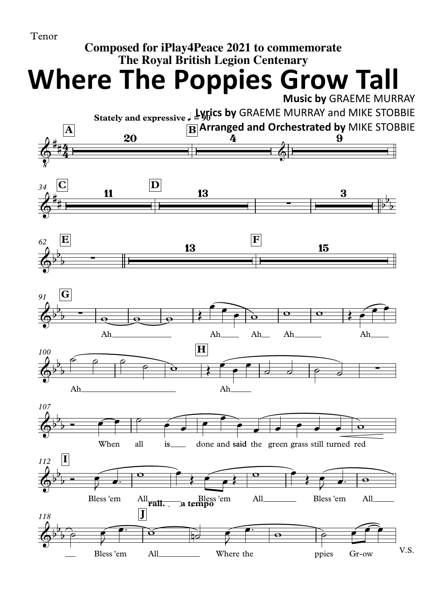

## **Composed for iPlay4Peace 2021 to commemorate The Royal British Legion Centenary**

**Where The Poppies Grow Tall**

**Music by** GRAEME MURRAY

## **Stately and expressive** q**= 90 Lyrics by** GRAEME MURRAY and MIKE STOBBIE